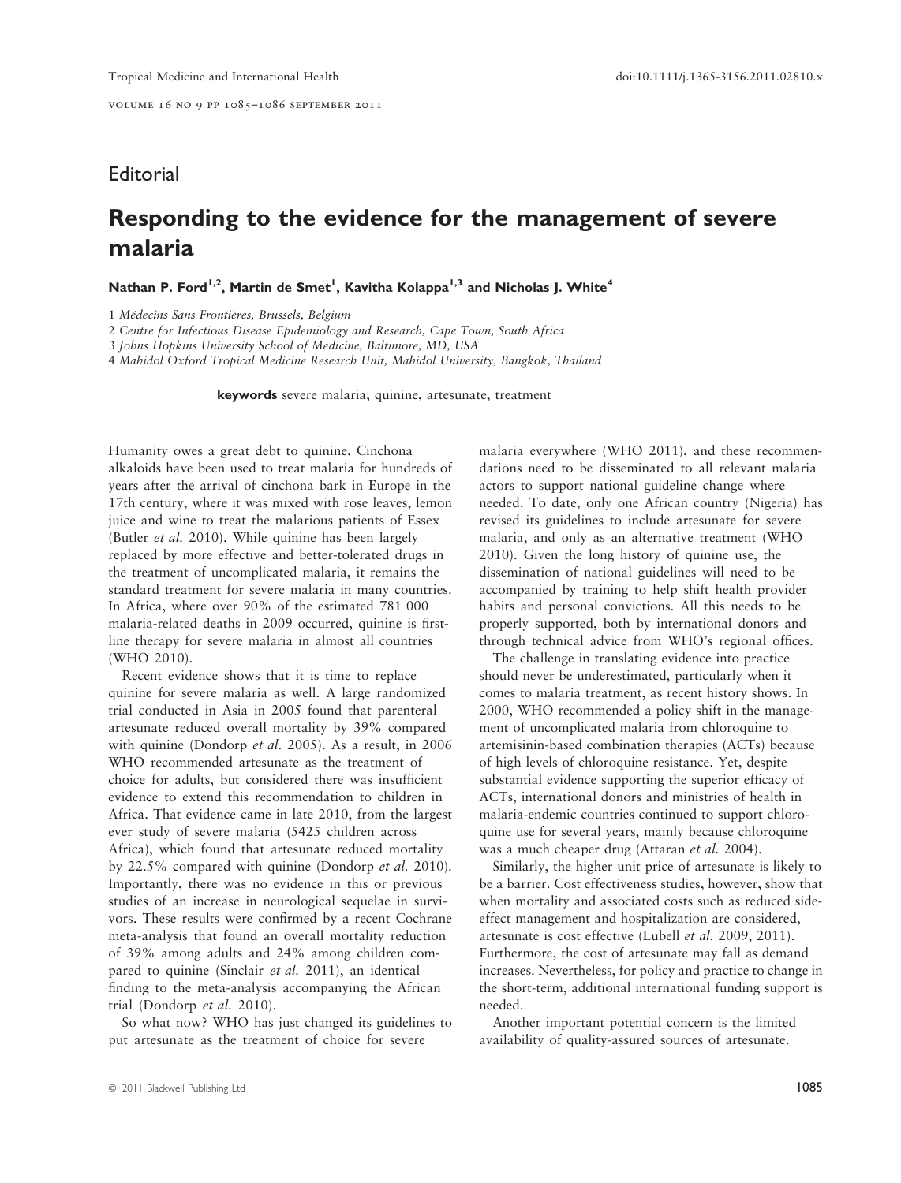volume 16 no 9 pp 1085–1086 september 2011

## **Editorial**

## Responding to the evidence for the management of severe malaria

Nathan P. Ford<sup>1,2</sup>, Martin de Smet<sup>1</sup>, Kavitha Kolappa<sup>1,3</sup> and Nicholas J. White<sup>4</sup>

1 Médecins Sans Frontières, Brussels, Belgium

2 Centre for Infectious Disease Epidemiology and Research, Cape Town, South Africa

3 Johns Hopkins University School of Medicine, Baltimore, MD, USA

4 Mahidol Oxford Tropical Medicine Research Unit, Mahidol University, Bangkok, Thailand

keywords severe malaria, quinine, artesunate, treatment

Humanity owes a great debt to quinine. Cinchona alkaloids have been used to treat malaria for hundreds of years after the arrival of cinchona bark in Europe in the 17th century, where it was mixed with rose leaves, lemon juice and wine to treat the malarious patients of Essex (Butler et al. 2010). While quinine has been largely replaced by more effective and better-tolerated drugs in the treatment of uncomplicated malaria, it remains the standard treatment for severe malaria in many countries. In Africa, where over 90% of the estimated 781 000 malaria-related deaths in 2009 occurred, quinine is firstline therapy for severe malaria in almost all countries (WHO 2010).

Recent evidence shows that it is time to replace quinine for severe malaria as well. A large randomized trial conducted in Asia in 2005 found that parenteral artesunate reduced overall mortality by 39% compared with quinine (Dondorp *et al.* 2005). As a result, in 2006 WHO recommended artesunate as the treatment of choice for adults, but considered there was insufficient evidence to extend this recommendation to children in Africa. That evidence came in late 2010, from the largest ever study of severe malaria (5425 children across Africa), which found that artesunate reduced mortality by 22.5% compared with quinine (Dondorp et al. 2010). Importantly, there was no evidence in this or previous studies of an increase in neurological sequelae in survivors. These results were confirmed by a recent Cochrane meta-analysis that found an overall mortality reduction of 39% among adults and 24% among children compared to quinine (Sinclair et al. 2011), an identical finding to the meta-analysis accompanying the African trial (Dondorp et al. 2010).

So what now? WHO has just changed its guidelines to put artesunate as the treatment of choice for severe

malaria everywhere (WHO 2011), and these recommendations need to be disseminated to all relevant malaria actors to support national guideline change where needed. To date, only one African country (Nigeria) has revised its guidelines to include artesunate for severe malaria, and only as an alternative treatment (WHO 2010). Given the long history of quinine use, the dissemination of national guidelines will need to be accompanied by training to help shift health provider habits and personal convictions. All this needs to be properly supported, both by international donors and through technical advice from WHO's regional offices.

The challenge in translating evidence into practice should never be underestimated, particularly when it comes to malaria treatment, as recent history shows. In 2000, WHO recommended a policy shift in the management of uncomplicated malaria from chloroquine to artemisinin-based combination therapies (ACTs) because of high levels of chloroquine resistance. Yet, despite substantial evidence supporting the superior efficacy of ACTs, international donors and ministries of health in malaria-endemic countries continued to support chloroquine use for several years, mainly because chloroquine was a much cheaper drug (Attaran et al. 2004).

Similarly, the higher unit price of artesunate is likely to be a barrier. Cost effectiveness studies, however, show that when mortality and associated costs such as reduced sideeffect management and hospitalization are considered, artesunate is cost effective (Lubell et al. 2009, 2011). Furthermore, the cost of artesunate may fall as demand increases. Nevertheless, for policy and practice to change in the short-term, additional international funding support is needed.

Another important potential concern is the limited availability of quality-assured sources of artesunate.